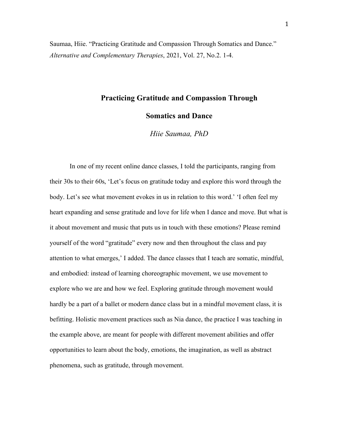Saumaa, Hiie. "Practicing Gratitude and Compassion Through Somatics and Dance." *Alternative and Complementary Therapies*, 2021, Vol. 27, No.2. 1-4.

# **Practicing Gratitude and Compassion Through**

**Somatics and Dance**

*Hiie Saumaa, PhD*

In one of my recent online dance classes, I told the participants, ranging from their 30s to their 60s, 'Let's focus on gratitude today and explore this word through the body. Let's see what movement evokes in us in relation to this word.' 'I often feel my heart expanding and sense gratitude and love for life when I dance and move. But what is it about movement and music that puts us in touch with these emotions? Please remind yourself of the word "gratitude" every now and then throughout the class and pay attention to what emerges,' I added. The dance classes that I teach are somatic, mindful, and embodied: instead of learning choreographic movement, we use movement to explore who we are and how we feel. Exploring gratitude through movement would hardly be a part of a ballet or modern dance class but in a mindful movement class, it is befitting. Holistic movement practices such as Nia dance, the practice I was teaching in the example above, are meant for people with different movement abilities and offer opportunities to learn about the body, emotions, the imagination, as well as abstract phenomena, such as gratitude, through movement.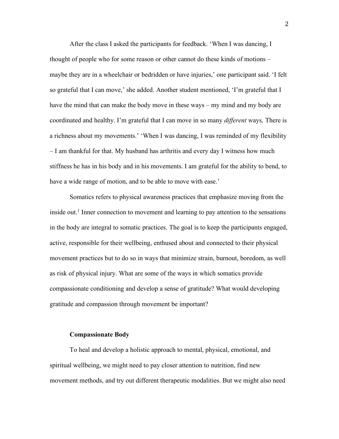After the class I asked the participants for feedback. 'When I was dancing, I thought of people who for some reason or other cannot do these kinds of motions – maybe they are in a wheelchair or bedridden or have injuries,' one participant said. 'I felt so grateful that I can move,' she added. Another student mentioned, 'I'm grateful that I have the mind that can make the body move in these ways – my mind and my body are coordinated and healthy. I'm grateful that I can move in so many *different* ways. There is a richness about my movements.' 'When I was dancing, I was reminded of my flexibility – I am thankful for that. My husband has arthritis and every day I witness how much stiffness he has in his body and in his movements. I am grateful for the ability to bend, to have a wide range of motion, and to be able to move with ease.'

Somatics refers to physical awareness practices that emphasize moving from the inside out.<sup>1</sup> Inner connection to movement and learning to pay attention to the sensations in the body are integral to somatic practices. The goal is to keep the participants engaged, active, responsible for their wellbeing, enthused about and connected to their physical movement practices but to do so in ways that minimize strain, burnout, boredom, as well as risk of physical injury. What are some of the ways in which somatics provide compassionate conditioning and develop a sense of gratitude? What would developing gratitude and compassion through movement be important?

#### **Compassionate Body**

To heal and develop a holistic approach to mental, physical, emotional, and spiritual wellbeing, we might need to pay closer attention to nutrition, find new movement methods, and try out different therapeutic modalities. But we might also need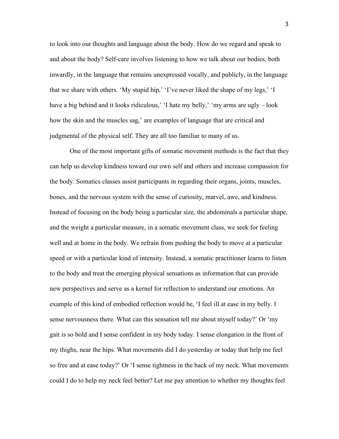to look into our thoughts and language about the body. How do we regard and speak to and about the body? Self-care involves listening to how we talk about our bodies, both inwardly, in the language that remains unexpressed vocally, and publicly, in the language that we share with others. 'My stupid hip,' 'I've never liked the shape of my legs,' 'I have a big behind and it looks ridiculous,' I hate my belly,' 'my arms are ugly – look how the skin and the muscles sag,' are examples of language that are critical and judgmental of the physical self. They are all too familiar to many of us.

One of the most important gifts of somatic movement methods is the fact that they can help us develop kindness toward our own self and others and increase compassion for the body. Somatics classes assist participants in regarding their organs, joints, muscles, bones, and the nervous system with the sense of curiosity, marvel, awe, and kindness. Instead of focusing on the body being a particular size, the abdominals a particular shape, and the weight a particular measure, in a somatic movement class, we seek for feeling well and at home in the body. We refrain from pushing the body to move at a particular speed or with a particular kind of intensity. Instead, a somatic practitioner learns to listen to the body and treat the emerging physical sensations as information that can provide new perspectives and serve as a kernel for reflection to understand our emotions. An example of this kind of embodied reflection would be, 'I feel ill at ease in my belly. I sense nervousness there. What can this sensation tell me about myself today?' Or 'my gait is so bold and I sense confident in my body today. I sense elongation in the front of my thighs, near the hips. What movements did I do yesterday or today that help me feel so free and at ease today?' Or 'I sense tightness in the back of my neck. What movements could I do to help my neck feel better? Let me pay attention to whether my thoughts feel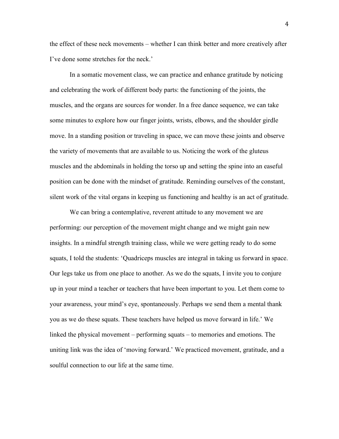the effect of these neck movements – whether I can think better and more creatively after I've done some stretches for the neck.'

In a somatic movement class, we can practice and enhance gratitude by noticing and celebrating the work of different body parts: the functioning of the joints, the muscles, and the organs are sources for wonder. In a free dance sequence, we can take some minutes to explore how our finger joints, wrists, elbows, and the shoulder girdle move. In a standing position or traveling in space, we can move these joints and observe the variety of movements that are available to us. Noticing the work of the gluteus muscles and the abdominals in holding the torso up and setting the spine into an easeful position can be done with the mindset of gratitude. Reminding ourselves of the constant, silent work of the vital organs in keeping us functioning and healthy is an act of gratitude.

We can bring a contemplative, reverent attitude to any movement we are performing: our perception of the movement might change and we might gain new insights. In a mindful strength training class, while we were getting ready to do some squats, I told the students: 'Quadriceps muscles are integral in taking us forward in space. Our legs take us from one place to another. As we do the squats, I invite you to conjure up in your mind a teacher or teachers that have been important to you. Let them come to your awareness, your mind's eye, spontaneously. Perhaps we send them a mental thank you as we do these squats. These teachers have helped us move forward in life.' We linked the physical movement – performing squats – to memories and emotions. The uniting link was the idea of 'moving forward.' We practiced movement, gratitude, and a soulful connection to our life at the same time.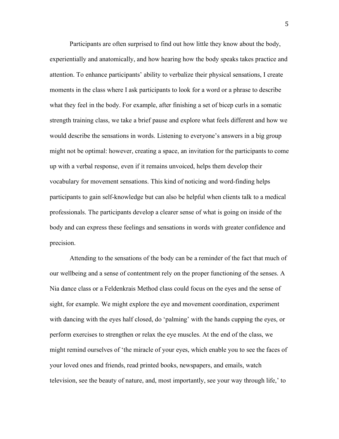Participants are often surprised to find out how little they know about the body, experientially and anatomically, and how hearing how the body speaks takes practice and attention. To enhance participants' ability to verbalize their physical sensations, I create moments in the class where I ask participants to look for a word or a phrase to describe what they feel in the body. For example, after finishing a set of bicep curls in a somatic strength training class, we take a brief pause and explore what feels different and how we would describe the sensations in words. Listening to everyone's answers in a big group might not be optimal: however, creating a space, an invitation for the participants to come up with a verbal response, even if it remains unvoiced, helps them develop their vocabulary for movement sensations. This kind of noticing and word-finding helps participants to gain self-knowledge but can also be helpful when clients talk to a medical professionals. The participants develop a clearer sense of what is going on inside of the body and can express these feelings and sensations in words with greater confidence and precision.

Attending to the sensations of the body can be a reminder of the fact that much of our wellbeing and a sense of contentment rely on the proper functioning of the senses. A Nia dance class or a Feldenkrais Method class could focus on the eyes and the sense of sight, for example. We might explore the eye and movement coordination, experiment with dancing with the eyes half closed, do 'palming' with the hands cupping the eyes, or perform exercises to strengthen or relax the eye muscles. At the end of the class, we might remind ourselves of 'the miracle of your eyes, which enable you to see the faces of your loved ones and friends, read printed books, newspapers, and emails, watch television, see the beauty of nature, and, most importantly, see your way through life,' to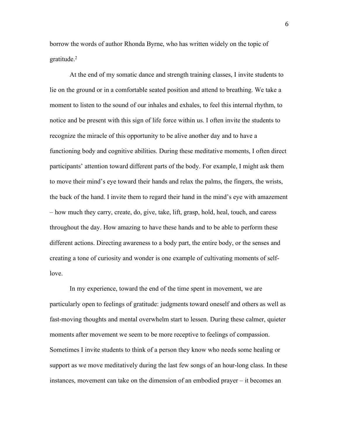borrow the words of author Rhonda Byrne, who has written widely on the topic of gratitude. $2$ 

At the end of my somatic dance and strength training classes, I invite students to lie on the ground or in a comfortable seated position and attend to breathing. We take a moment to listen to the sound of our inhales and exhales, to feel this internal rhythm, to notice and be present with this sign of life force within us. I often invite the students to recognize the miracle of this opportunity to be alive another day and to have a functioning body and cognitive abilities. During these meditative moments, I often direct participants' attention toward different parts of the body. For example, I might ask them to move their mind's eye toward their hands and relax the palms, the fingers, the wrists, the back of the hand. I invite them to regard their hand in the mind's eye with amazement – how much they carry, create, do, give, take, lift, grasp, hold, heal, touch, and caress throughout the day. How amazing to have these hands and to be able to perform these different actions. Directing awareness to a body part, the entire body, or the senses and creating a tone of curiosity and wonder is one example of cultivating moments of selflove.

In my experience, toward the end of the time spent in movement, we are particularly open to feelings of gratitude: judgments toward oneself and others as well as fast-moving thoughts and mental overwhelm start to lessen. During these calmer, quieter moments after movement we seem to be more receptive to feelings of compassion. Sometimes I invite students to think of a person they know who needs some healing or support as we move meditatively during the last few songs of an hour-long class. In these instances, movement can take on the dimension of an embodied prayer – it becomes an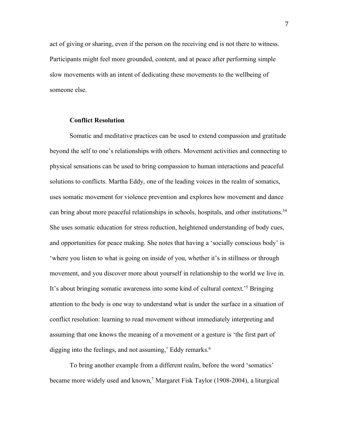act of giving or sharing, even if the person on the receiving end is not there to witness. Participants might feel more grounded, content, and at peace after performing simple slow movements with an intent of dedicating these movements to the wellbeing of someone else.

## **Conflict Resolution**

Somatic and meditative practices can be used to extend compassion and gratitude beyond the self to one's relationships with others. Movement activities and connecting to physical sensations can be used to bring compassion to human interactions and peaceful solutions to conflicts. Martha Eddy, one of the leading voices in the realm of somatics, uses somatic movement for violence prevention and explores how movement and dance can bring about more peaceful relationships in schools, hospitals, and other institutions.<sup>34</sup> She uses somatic education for stress reduction, heightened understanding of body cues, and opportunities for peace making. She notes that having a 'socially conscious body' is 'where you listen to what is going on inside of you, whether it's in stillness or through movement, and you discover more about yourself in relationship to the world we live in. It's about bringing somatic awareness into some kind of cultural context.'5 Bringing attention to the body is one way to understand what is under the surface in a situation of conflict resolution: learning to read movement without immediately interpreting and assuming that one knows the meaning of a movement or a gesture is 'the first part of digging into the feelings, and not assuming,' Eddy remarks.<sup>6</sup>

To bring another example from a different realm, before the word 'somatics' became more widely used and known, <sup>7</sup> Margaret Fisk Taylor (1908-2004), a liturgical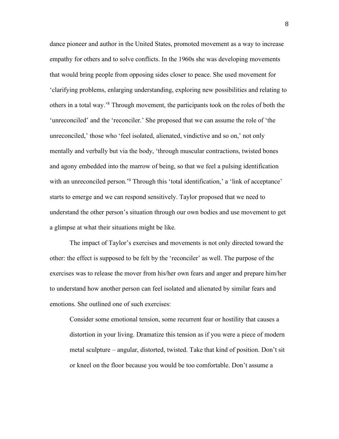dance pioneer and author in the United States, promoted movement as a way to increase empathy for others and to solve conflicts. In the 1960s she was developing movements that would bring people from opposing sides closer to peace. She used movement for 'clarifying problems, enlarging understanding, exploring new possibilities and relating to others in a total way.' <sup>8</sup> Through movement, the participants took on the roles of both the 'unreconciled' and the 'reconciler.' She proposed that we can assume the role of 'the unreconciled,' those who 'feel isolated, alienated, vindictive and so on,' not only mentally and verbally but via the body, 'through muscular contractions, twisted bones and agony embedded into the marrow of being, so that we feel a pulsing identification with an unreconciled person.<sup>'9</sup> Through this 'total identification,' a 'link of acceptance' starts to emerge and we can respond sensitively. Taylor proposed that we need to understand the other person's situation through our own bodies and use movement to get a glimpse at what their situations might be like.

The impact of Taylor's exercises and movements is not only directed toward the other: the effect is supposed to be felt by the 'reconciler' as well. The purpose of the exercises was to release the mover from his/her own fears and anger and prepare him/her to understand how another person can feel isolated and alienated by similar fears and emotions. She outlined one of such exercises:

Consider some emotional tension, some recurrent fear or hostility that causes a distortion in your living. Dramatize this tension as if you were a piece of modern metal sculpture – angular, distorted, twisted. Take that kind of position. Don't sit or kneel on the floor because you would be too comfortable. Don't assume a

8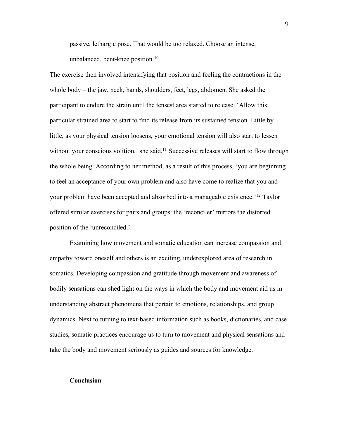passive, lethargic pose. That would be too relaxed. Choose an intense, unbalanced, bent-knee position.<sup>10</sup>

The exercise then involved intensifying that position and feeling the contractions in the whole body – the jaw, neck, hands, shoulders, feet, legs, abdomen. She asked the participant to endure the strain until the tensest area started to release: 'Allow this particular strained area to start to find its release from its sustained tension. Little by little, as your physical tension loosens, your emotional tension will also start to lessen without your conscious volition,' she said.<sup>11</sup> Successive releases will start to flow through the whole being. According to her method, as a result of this process, 'you are beginning to feel an acceptance of your own problem and also have come to realize that you and your problem have been accepted and absorbed into a manageable existence.'12 Taylor offered similar exercises for pairs and groups: the 'reconciler' mirrors the distorted position of the 'unreconciled.'

Examining how movement and somatic education can increase compassion and empathy toward oneself and others is an exciting, underexplored area of research in somatics. Developing compassion and gratitude through movement and awareness of bodily sensations can shed light on the ways in which the body and movement aid us in understanding abstract phenomena that pertain to emotions, relationships, and group dynamics. Next to turning to text-based information such as books, dictionaries, and case studies, somatic practices encourage us to turn to movement and physical sensations and take the body and movement seriously as guides and sources for knowledge.

#### **Conclusion**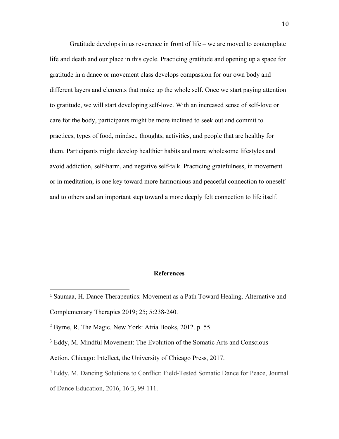Gratitude develops in us reverence in front of life – we are moved to contemplate life and death and our place in this cycle. Practicing gratitude and opening up a space for gratitude in a dance or movement class develops compassion for our own body and different layers and elements that make up the whole self. Once we start paying attention to gratitude, we will start developing self-love. With an increased sense of self-love or care for the body, participants might be more inclined to seek out and commit to practices, types of food, mindset, thoughts, activities, and people that are healthy for them. Participants might develop healthier habits and more wholesome lifestyles and avoid addiction, self-harm, and negative self-talk. Practicing gratefulness, in movement or in meditation, is one key toward more harmonious and peaceful connection to oneself and to others and an important step toward a more deeply felt connection to life itself.

## **References**

 

<sup>1</sup> Saumaa, H. Dance Therapeutics: Movement as a Path Toward Healing. Alternative and Complementary Therapies 2019; 25; 5:238-240.

<sup>2</sup> Byrne, R. The Magic. New York: Atria Books, 2012. p. 55.

<sup>&</sup>lt;sup>3</sup> Eddy, M. Mindful Movement: The Evolution of the Somatic Arts and Conscious

Action. Chicago: Intellect, the University of Chicago Press, 2017.

<sup>4</sup> Eddy, M. Dancing Solutions to Conflict: Field-Tested Somatic Dance for Peace, Journal

of Dance Education, 2016, 16:3, 99-111.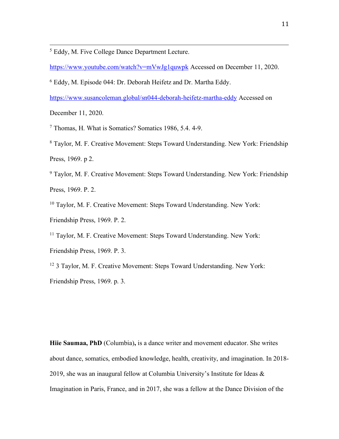<sup>5</sup> Eddy, M. Five College Dance Department Lecture.

https://www.youtube.com/watch?v=mVwJg1quwpk Accessed on December 11, 2020.

<u> 2002 - Andrea San Andrea San Andrea San Andrea San Andrea San Andrea San Andrea San Andrea San Andrea San An</u>

<sup>6</sup> Eddy, M. Episode 044: Dr. Deborah Heifetz and Dr. Martha Eddy.

https://www.susancoleman.global/sn044-deborah-heifetz-martha-eddy Accessed on

December 11, 2020.

<sup>7</sup> Thomas, H. What is Somatics? Somatics 1986, 5.4. 4-9.

<sup>8</sup> Taylor, M. F. Creative Movement: Steps Toward Understanding. New York: Friendship Press, 1969. p 2.

<sup>9</sup> Taylor, M. F. Creative Movement: Steps Toward Understanding. New York: Friendship Press, 1969. P. 2.

<sup>10</sup> Taylor, M. F. Creative Movement: Steps Toward Understanding. New York:

Friendship Press, 1969. P. 2.

<sup>11</sup> Taylor, M. F. Creative Movement: Steps Toward Understanding. New York:

Friendship Press, 1969. P. 3.

<sup>12</sup> 3 Taylor, M. F. Creative Movement: Steps Toward Understanding. New York: Friendship Press, 1969. p. 3.

**Hiie Saumaa, PhD** (Columbia)**,** is a dance writer and movement educator. She writes about dance, somatics, embodied knowledge, health, creativity, and imagination. In 2018- 2019, she was an inaugural fellow at Columbia University's Institute for Ideas & Imagination in Paris, France, and in 2017, she was a fellow at the Dance Division of the